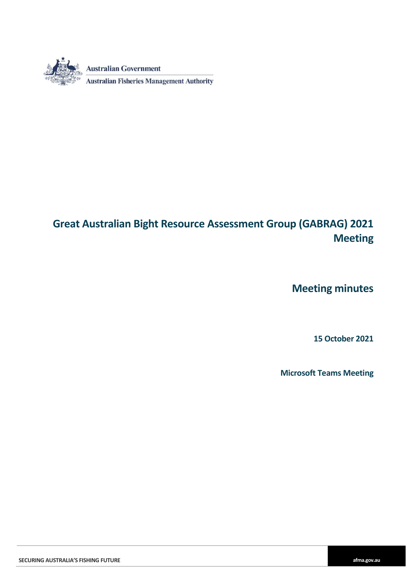

# **Great Australian Bight Resource Assessment Group (GABRAG) 2021 Meeting**

**Meeting minutes**

**15 October 2021**

**Microsoft Teams Meeting**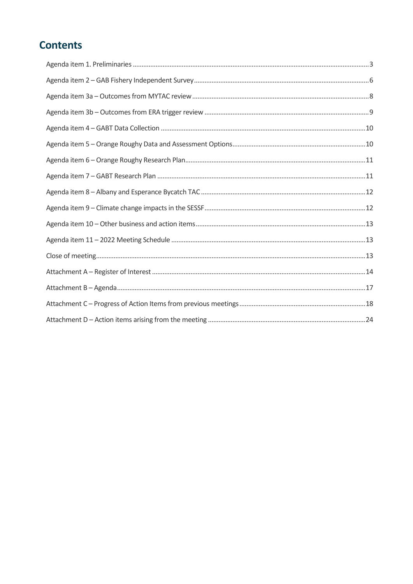# **Contents**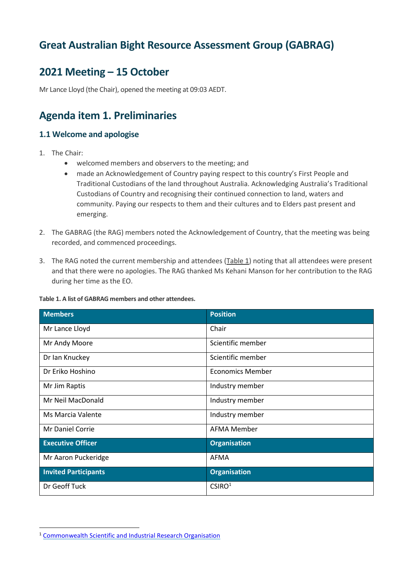## **Great Australian Bight Resource Assessment Group (GABRAG)**

## **2021 Meeting – 15 October**

<span id="page-2-0"></span>Mr Lance Lloyd (the Chair), opened the meeting at 09:03 AEDT.

## **Agenda item 1. Preliminaries**

### **1.1 Welcome and apologise**

- 1. The Chair:
	- welcomed members and observers to the meeting; and
	- made an Acknowledgement of Country paying respect to this country's First People and Traditional Custodians of the land throughout Australia. Acknowledging Australia's Traditional Custodians of Country and recognising their continued connection to land, waters and community. Paying our respects to them and their cultures and to Elders past present and emerging.
- 2. The GABRAG (the RAG) members noted the Acknowledgement of Country, that the meeting was being recorded, and commenced proceedings.
- 3. The RAG noted the current membership and attendees (Table 1) noting that all attendees were present and that there were no apologies. The RAG thanked Ms Kehani Manson for her contribution to the RAG during her time as the EO.

| <b>Members</b>              | <b>Position</b>         |  |  |
|-----------------------------|-------------------------|--|--|
| Mr Lance Lloyd              | Chair                   |  |  |
| Mr Andy Moore               | Scientific member       |  |  |
| Dr Ian Knuckey              | Scientific member       |  |  |
| Dr Eriko Hoshino            | <b>Economics Member</b> |  |  |
| Mr Jim Raptis               | Industry member         |  |  |
| Mr Neil MacDonald           | Industry member         |  |  |
| Ms Marcia Valente           | Industry member         |  |  |
| <b>Mr Daniel Corrie</b>     | <b>AFMA Member</b>      |  |  |
| <b>Executive Officer</b>    | <b>Organisation</b>     |  |  |
| Mr Aaron Puckeridge         | AFMA                    |  |  |
| <b>Invited Participants</b> | <b>Organisation</b>     |  |  |
| Dr Geoff Tuck               | CSIRO <sup>1</sup>      |  |  |

#### **Table 1. A list of GABRAG members and other attendees.**

<sup>1</sup> [Commonwealth Scientific and Industrial Research Organisation](https://www.csiro.au/en/)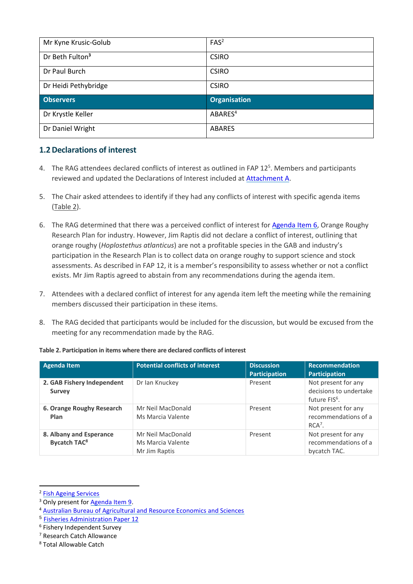| Mr Kyne Krusic-Golub        | FAS <sup>2</sup>    |
|-----------------------------|---------------------|
| Dr Beth Fulton <sup>3</sup> | <b>CSIRO</b>        |
| Dr Paul Burch               | <b>CSIRO</b>        |
| Dr Heidi Pethybridge        | <b>CSIRO</b>        |
|                             |                     |
| <b>Observers</b>            | <b>Organisation</b> |
| Dr Krystle Keller           | ABARES <sup>4</sup> |

### **1.2Declarations of interest**

- 4. The RAG attendees declared conflicts of interest as outlined in FAP  $12<sup>5</sup>$ . Members and participants reviewed and updated the Declarations of Interest included at [Attachment A.](#page-12-3)
- 5. The Chair asked attendees to identify if they had any conflicts of interest with specific agenda items (Table 2).
- 6. The RAG determined that there was a perceived conflict of interest for [Agenda Item 6,](#page-10-0) Orange Roughy Research Plan for industry. However, Jim Raptis did not declare a conflict of interest, outlining that orange roughy (*Hoplostethus atlanticus*) are not a profitable species in the GAB and industry's participation in the Research Plan is to collect data on orange roughy to support science and stock assessments. As described in FAP 12, it is a member's responsibility to assess whether or not a conflict exists. Mr Jim Raptis agreed to abstain from any recommendations during the agenda item.
- 7. Attendees with a declared conflict of interest for any agenda item left the meeting while the remaining members discussed their participation in these items.
- 8. The RAG decided that participants would be included for the discussion, but would be excused from the meeting for any recommendation made by the RAG.

| <b>Agenda Item</b>                                        | <b>Potential conflicts of interest</b>                  | <b>Discussion</b><br>Participation | Recommendation<br>Participation                                            |
|-----------------------------------------------------------|---------------------------------------------------------|------------------------------------|----------------------------------------------------------------------------|
| 2. GAB Fishery Independent<br><b>Survey</b>               | Dr Ian Knuckey                                          | Present                            | Not present for any<br>decisions to undertake<br>future FIS <sup>6</sup> . |
| 6. Orange Roughy Research<br>Plan                         | Mr Neil MacDonald<br>Ms Marcia Valente                  | Present                            | Not present for any<br>recommendations of a<br>$RCA7$ .                    |
| 8. Albany and Esperance<br><b>Bycatch TAC<sup>8</sup></b> | Mr Neil MacDonald<br>Ms Marcia Valente<br>Mr Jim Raptis | Present                            | Not present for any<br>recommendations of a<br>bycatch TAC.                |

#### **Table 2. Participation in items where there are declared conflicts of interest**

<sup>&</sup>lt;sup>2</sup> [Fish Ageing Services](http://www.fishageingservices.com/)

<sup>&</sup>lt;sup>3</sup> Only present fo[r Agenda Item 9.](#page-11-1)

<sup>4</sup> [Australian Bureau of Agricultural and Resource Economics and Sciences](https://www.awe.gov.au/abares)

<sup>5</sup> [Fisheries Administration Paper 12](https://www.afma.gov.au/sites/default/files/fisheries_administration_paper_12_-_final_draft.pdf)

<sup>6</sup> Fishery Independent Survey

<sup>7</sup> Research Catch Allowance

<sup>8</sup> Total Allowable Catch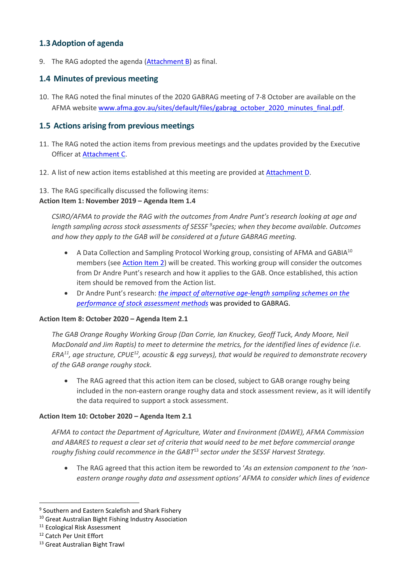### **1.3Adoption of agenda**

9. The RAG adopted the agenda [\(Attachment B\)](#page-16-0) as final.

### **1.4 Minutes of previous meeting**

10. The RAG noted the final minutes of the 2020 GABRAG meeting of 7-8 October are available on the AFMA website [www.afma.gov.au/sites/default/files/gabrag\\_october\\_2020\\_minutes\\_final.pdf.](https://www.afma.gov.au/sites/default/files/gabrag_october_2020_minutes_final.pdf)

### <span id="page-4-0"></span>**1.5 Actions arising from previous meetings**

- 11. The RAG noted the action items from previous meetings and the updates provided by the Executive Officer at [Attachment C.](#page-17-0)
- 12. A list of new action items established at this meeting are provided a[t Attachment D.](#page-23-0)

### 13. The RAG specifically discussed the following items:

### **Action Item 1: November 2019 – Agenda Item 1.4**

*CSIRO/AFMA to provide the RAG with the outcomes from Andre Punt's research looking at age and length sampling across stock assessments of SESSF <sup>9</sup> species; when they become available. Outcomes and how they apply to the GAB will be considered at a future GABRAG meeting.*

- A Data Collection and Sampling Protocol Working group, consisting of AFMA and GABIA<sup>10</sup> members (se[e Action Item 2\)](#page-9-2) will be created. This working group will consider the outcomes from Dr Andre Punt's research and how it applies to the GAB. Once established, this action item should be removed from the Action list.
- Dr Andre Punt's research: *[the impact of alternative age-length sampling schemes on the](https://www.sciencedirect.com/science/article/abs/pii/S0165783621000321)  [performance of stock assessment methods](https://www.sciencedirect.com/science/article/abs/pii/S0165783621000321)* was provided to GABRAG.

#### **Action Item 8: October 2020 – Agenda Item 2.1**

*The GAB Orange Roughy Working Group (Dan Corrie, Ian Knuckey, Geoff Tuck, Andy Moore, Neil MacDonald and Jim Raptis) to meet to determine the metrics, for the identified lines of evidence (i.e. ERA<sup>11</sup>, age structure, CPUE<sup>12</sup>, acoustic & egg surveys), that would be required to demonstrate recovery of the GAB orange roughy stock.*

 The RAG agreed that this action item can be closed, subject to GAB orange roughy being included in the non-eastern orange roughy data and stock assessment review, as it will identify the data required to support a stock assessment.

#### **Action Item 10: October 2020 – Agenda Item 2.1**

*AFMA to contact the Department of Agriculture, Water and Environment (DAWE), AFMA Commission and ABARES to request a clear set of criteria that would need to be met before commercial orange roughy fishing could recommence in the GABT*<sup>13</sup> *sector under the SESSF Harvest Strategy.*

 The RAG agreed that this action item be reworded to '*As an extension component to the 'noneastern orange roughy data and assessment options' AFMA to consider which lines of evidence* 

<sup>&</sup>lt;sup>9</sup> Southern and Eastern Scalefish and Shark Fishery

<sup>10</sup> Great Australian Bight Fishing Industry Association

<sup>&</sup>lt;sup>11</sup> Ecological Risk Assessment

<sup>12</sup> Catch Per Unit Effort

<sup>13</sup> Great Australian Bight Trawl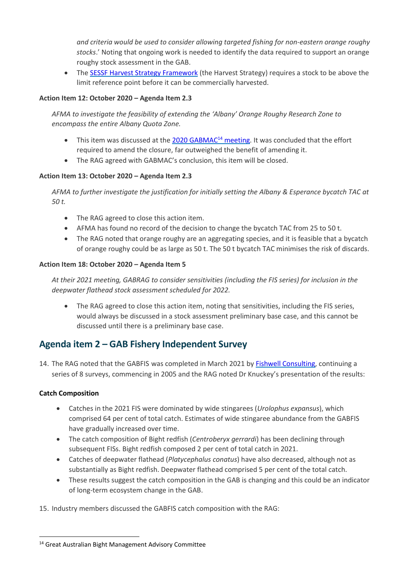*and criteria would be used to consider allowing targeted fishing for non-eastern orange roughy stocks*.' Noting that ongoing work is needed to identify the data required to support an orange roughy stock assessment in the GAB.

• The [SESSF Harvest Strategy Framework](https://www.afma.gov.au/sites/default/files/sessf_harvest_strategy_amended_2020.pdf) (the Harvest Strategy) requires a stock to be above the limit reference point before it can be commercially harvested.

### **Action Item 12: October 2020 – Agenda Item 2.3**

*AFMA to investigate the feasibility of extending the 'Albany' Orange Roughy Research Zone to encompass the entire Albany Quota Zone.*

- $\bullet$  This item was discussed at the [2020 GABMAC](https://www.afma.gov.au/sites/default/files/gabmac_october_2020_minutes_final.pdf)<sup>14</sup> meeting. It was concluded that the effort required to amend the closure, far outweighed the benefit of amending it.
- The RAG agreed with GABMAC's conclusion, this item will be closed.

### **Action Item 13: October 2020 – Agenda Item 2.3**

*AFMA to further investigate the justification for initially setting the Albany & Esperance bycatch TAC at 50 t.*

- The RAG agreed to close this action item.
- AFMA has found no record of the decision to change the bycatch TAC from 25 to 50 t.
- The RAG noted that orange roughy are an aggregating species, and it is feasible that a bycatch of orange roughy could be as large as 50 t. The 50 t bycatch TAC minimises the risk of discards.

### **Action Item 18: October 2020 – Agenda Item 5**

*At their 2021 meeting, GABRAG to consider sensitivities (including the FIS series) for inclusion in the deepwater flathead stock assessment scheduled for 2022.*

• The RAG agreed to close this action item, noting that sensitivities, including the FIS series, would always be discussed in a stock assessment preliminary base case, and this cannot be discussed until there is a preliminary base case.

### <span id="page-5-0"></span>**Agenda item 2 – GAB Fishery Independent Survey**

14. The RAG noted that the GABFIS was completed in March 2021 b[y Fishwell Consulting,](https://www.fishwell.com.au/) continuing a series of 8 surveys, commencing in 2005 and the RAG noted Dr Knuckey's presentation of the results:

### **Catch Composition**

-

- Catches in the 2021 FIS were dominated by wide stingarees (*Urolophus expansus*), which comprised 64 per cent of total catch. Estimates of wide stingaree abundance from the GABFIS have gradually increased over time.
- The catch composition of Bight redfish (*Centroberyx gerrardi*) has been declining through subsequent FISs. Bight redfish composed 2 per cent of total catch in 2021.
- Catches of deepwater flathead (*Platycephalus conatus*) have also decreased, although not as substantially as Bight redfish. Deepwater flathead comprised 5 per cent of the total catch.
- These results suggest the catch composition in the GAB is changing and this could be an indicator of long-term ecosystem change in the GAB.

15. Industry members discussed the GABFIS catch composition with the RAG:

<sup>14</sup> Great Australian Bight Management Advisory Committee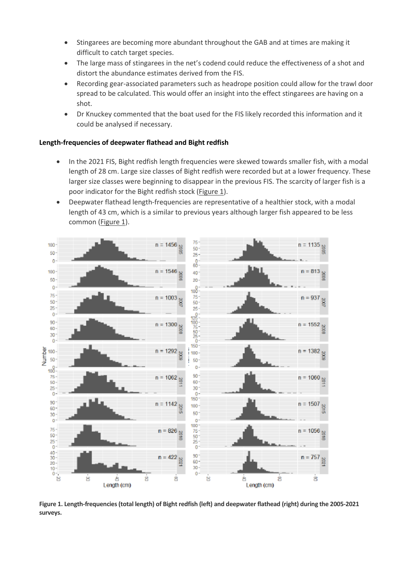- Stingarees are becoming more abundant throughout the GAB and at times are making it difficult to catch target species.
- The large mass of stingarees in the net's codend could reduce the effectiveness of a shot and distort the abundance estimates derived from the FIS.
- Recording gear-associated parameters such as headrope position could allow for the trawl door spread to be calculated. This would offer an insight into the effect stingarees are having on a shot.
- Dr Knuckey commented that the boat used for the FIS likely recorded this information and it could be analysed if necessary.

#### **Length-frequencies of deepwater flathead and Bight redfish**

- In the 2021 FIS, Bight redfish length frequencies were skewed towards smaller fish, with a modal length of 28 cm. Large size classes of Bight redfish were recorded but at a lower frequency. These larger size classes were beginning to disappear in the previous FIS. The scarcity of larger fish is a poor indicator for the Bight redfish stock (Figure 1).
- Deepwater flathead length-frequencies are representative of a healthier stock, with a modal length of 43 cm, which is a similar to previous years although larger fish appeared to be less common (Figure 1).



**Figure 1. Length-frequencies (total length) of Bight redfish (left) and deepwater flathead (right) during the 2005-2021 surveys.**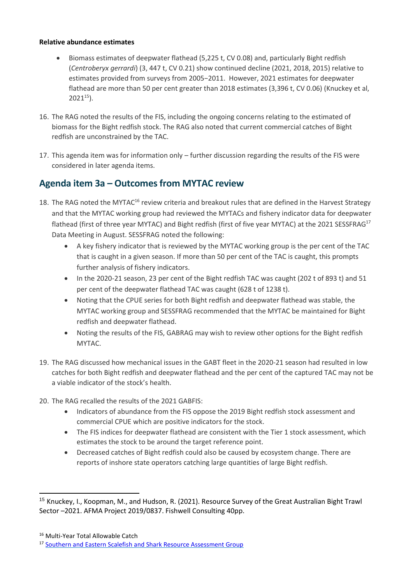#### **Relative abundance estimates**

- Biomass estimates of deepwater flathead (5,225 t, CV 0.08) and, particularly Bight redfish (*Centroberyx gerrardi*) (3, 447 t, CV 0.21) show continued decline (2021, 2018, 2015) relative to estimates provided from surveys from 2005−2011. However, 2021 estimates for deepwater flathead are more than 50 per cent greater than 2018 estimates (3,396 t, CV 0.06) (Knuckey et al,  $2021^{15}$ ).
- 16. The RAG noted the results of the FIS, including the ongoing concerns relating to the estimated of biomass for the Bight redfish stock. The RAG also noted that current commercial catches of Bight redfish are unconstrained by the TAC.
- 17. This agenda item was for information only further discussion regarding the results of the FIS were considered in later agenda items.

### <span id="page-7-1"></span><span id="page-7-0"></span>**Agenda item 3a – Outcomes from MYTAC review**

- 18. The RAG noted the MYTAC<sup>16</sup> review criteria and breakout rules that are defined in the Harvest Strategy and that the MYTAC working group had reviewed the MYTACs and fishery indicator data for deepwater flathead (first of three year MYTAC) and Bight redfish (first of five year MYTAC) at the 2021 SESSFRAG<sup>17</sup> Data Meeting in August. SESSFRAG noted the following:
	- A key fishery indicator that is reviewed by the MYTAC working group is the per cent of the TAC that is caught in a given season. If more than 50 per cent of the TAC is caught, this prompts further analysis of fishery indicators.
	- In the 2020-21 season, 23 per cent of the Bight redfish TAC was caught (202 t of 893 t) and 51 per cent of the deepwater flathead TAC was caught (628 t of 1238 t).
	- Noting that the CPUE series for both Bight redfish and deepwater flathead was stable, the MYTAC working group and SESSFRAG recommended that the MYTAC be maintained for Bight redfish and deepwater flathead.
	- Noting the results of the FIS, GABRAG may wish to review other options for the Bight redfish MYTAC.
- 19. The RAG discussed how mechanical issues in the GABT fleet in the 2020-21 season had resulted in low catches for both Bight redfish and deepwater flathead and the per cent of the captured TAC may not be a viable indicator of the stock's health.
- 20. The RAG recalled the results of the 2021 GABFIS:
	- Indicators of abundance from the FIS oppose the 2019 Bight redfish stock assessment and commercial CPUE which are positive indicators for the stock.
	- The FIS indices for deepwater flathead are consistent with the Tier 1 stock assessment, which estimates the stock to be around the target reference point.
	- Decreased catches of Bight redfish could also be caused by ecosystem change. There are reports of inshore state operators catching large quantities of large Bight redfish.

<sup>15</sup> Knuckey, I., Koopman, M., and Hudson, R. (2021). Resource Survey of the Great Australian Bight Trawl Sector –2021. AFMA Project 2019/0837. Fishwell Consulting 40pp.

<sup>16</sup> Multi-Year Total Allowable Catch

<sup>&</sup>lt;sup>17</sup> [Southern and Eastern Scalefish and Shark Resource Assessment Group](https://www.afma.gov.au/fisheries/committees/southern-eastern-scalefish-and-shark-resource-assessment-group)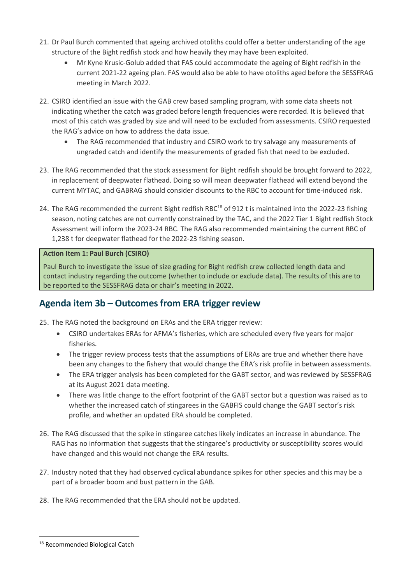- 21. Dr Paul Burch commented that ageing archived otoliths could offer a better understanding of the age structure of the Bight redfish stock and how heavily they may have been exploited.
	- Mr Kyne Krusic-Golub added that FAS could accommodate the ageing of Bight redfish in the current 2021-22 ageing plan. FAS would also be able to have otoliths aged before the SESSFRAG meeting in March 2022.
- 22. CSIRO identified an issue with the GAB crew based sampling program, with some data sheets not indicating whether the catch was graded before length frequencies were recorded. It is believed that most of this catch was graded by size and will need to be excluded from assessments. CSIRO requested the RAG's advice on how to address the data issue.
	- The RAG recommended that industry and CSIRO work to try salvage any measurements of ungraded catch and identify the measurements of graded fish that need to be excluded.
- 23. The RAG recommended that the stock assessment for Bight redfish should be brought forward to 2022, in replacement of deepwater flathead. Doing so will mean deepwater flathead will extend beyond the current MYTAC, and GABRAG should consider discounts to the RBC to account for time-induced risk.
- 24. The RAG recommended the current Bight redfish RBC<sup>18</sup> of 912 t is maintained into the 2022-23 fishing season, noting catches are not currently constrained by the TAC, and the 2022 Tier 1 Bight redfish Stock Assessment will inform the 2023-24 RBC. The RAG also recommended maintaining the current RBC of 1,238 t for deepwater flathead for the 2022-23 fishing season.

### **Action Item 1: Paul Burch (CSIRO)**

Paul Burch to investigate the issue of size grading for Bight redfish crew collected length data and contact industry regarding the outcome (whether to include or exclude data). The results of this are to be reported to the SESSFRAG data or chair's meeting in 2022.

### <span id="page-8-0"></span>**Agenda item 3b – Outcomes from ERA trigger review**

25. The RAG noted the background on ERAs and the ERA trigger review:

- CSIRO undertakes ERAs for AFMA's fisheries, which are scheduled every five years for major fisheries.
- The trigger review process tests that the assumptions of ERAs are true and whether there have been any changes to the fishery that would change the ERA's risk profile in between assessments.
- The ERA trigger analysis has been completed for the GABT sector, and was reviewed by SESSFRAG at its August 2021 data meeting.
- There was little change to the effort footprint of the GABT sector but a question was raised as to whether the increased catch of stingarees in the GABFIS could change the GABT sector's risk profile, and whether an updated ERA should be completed.
- 26. The RAG discussed that the spike in stingaree catches likely indicates an increase in abundance. The RAG has no information that suggests that the stingaree's productivity or susceptibility scores would have changed and this would not change the ERA results.
- 27. Industry noted that they had observed cyclical abundance spikes for other species and this may be a part of a broader boom and bust pattern in the GAB.
- 28. The RAG recommended that the ERA should not be updated.

<sup>18</sup> Recommended Biological Catch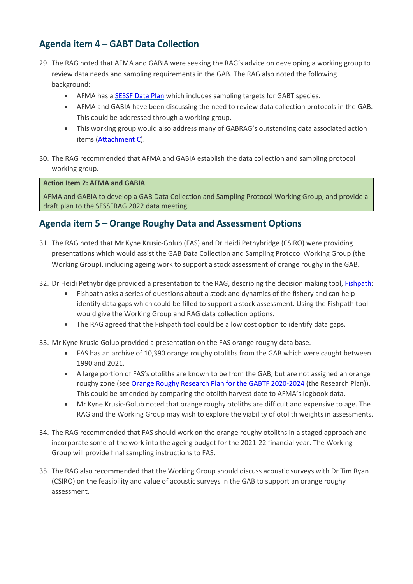### <span id="page-9-0"></span>**Agenda item 4 – GABT Data Collection**

- 29. The RAG noted that AFMA and GABIA were seeking the RAG's advice on developing a working group to review data needs and sampling requirements in the GAB. The RAG also noted the following background:
	- AFMA has a [SESSF Data Plan](https://www.afma.gov.au/sites/default/files/sessf_data_plan_2021-23.pdf) which includes sampling targets for GABT species.
	- AFMA and GABIA have been discussing the need to review data collection protocols in the GAB. This could be addressed through a working group.
	- This working group would also address many of GABRAG's outstanding data associated action items [\(Attachment C\)](#page-17-0).
- 30. The RAG recommended that AFMA and GABIA establish the data collection and sampling protocol working group.

#### <span id="page-9-2"></span>**Action Item 2: AFMA and GABIA**

AFMA and GABIA to develop a GAB Data Collection and Sampling Protocol Working Group, and provide a draft plan to the SESSFRAG 2022 data meeting.

### <span id="page-9-1"></span>**Agenda item 5 – Orange Roughy Data and Assessment Options**

- 31. The RAG noted that Mr Kyne Krusic-Golub (FAS) and Dr Heidi Pethybridge (CSIRO) were providing presentations which would assist the GAB Data Collection and Sampling Protocol Working Group (the Working Group), including ageing work to support a stock assessment of orange roughy in the GAB.
- 32. Dr Heidi Pethybridge provided a presentation to the RAG, describing the decision making tool, [Fishpath:](https://www.fishpath.org/home)
	- Fishpath asks a series of questions about a stock and dynamics of the fishery and can help identify data gaps which could be filled to support a stock assessment. Using the Fishpath tool would give the Working Group and RAG data collection options.
	- The RAG agreed that the Fishpath tool could be a low cost option to identify data gaps.
- 33. Mr Kyne Krusic-Golub provided a presentation on the FAS orange roughy data base.
	- FAS has an archive of 10,390 orange roughy otoliths from the GAB which were caught between 1990 and 2021.
	- A large portion of FAS's otoliths are known to be from the GAB, but are not assigned an orange roughy zone (se[e Orange Roughy Research Plan for the GABTF 2020-2024](https://www.afma.gov.au/sites/default/files/2020-24_gabt_orange_roughy_research_plan_-_final.pdf) (the Research Plan)). This could be amended by comparing the otolith harvest date to AFMA's logbook data.
	- Mr Kyne Krusic-Golub noted that orange roughy otoliths are difficult and expensive to age. The RAG and the Working Group may wish to explore the viability of otolith weights in assessments.
- 34. The RAG recommended that FAS should work on the orange roughy otoliths in a staged approach and incorporate some of the work into the ageing budget for the 2021-22 financial year. The Working Group will provide final sampling instructions to FAS.
- 35. The RAG also recommended that the Working Group should discuss acoustic surveys with Dr Tim Ryan (CSIRO) on the feasibility and value of acoustic surveys in the GAB to support an orange roughy assessment.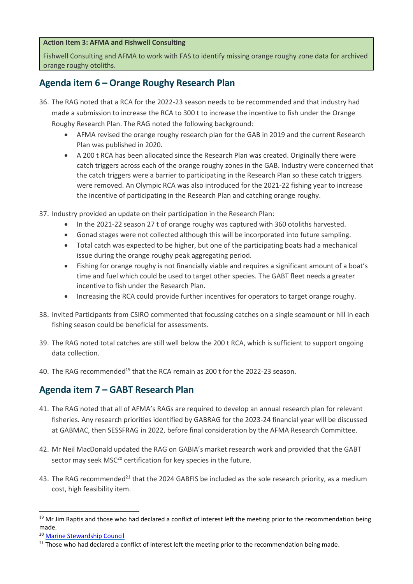#### **Action Item 3: AFMA and Fishwell Consulting**

Fishwell Consulting and AFMA to work with FAS to identify missing orange roughy zone data for archived orange roughy otoliths.

### <span id="page-10-0"></span>**Agenda item 6 – Orange Roughy Research Plan**

- 36. The RAG noted that a RCA for the 2022-23 season needs to be recommended and that industry had made a submission to increase the RCA to 300 t to increase the incentive to fish under the Orange Roughy Research Plan. The RAG noted the following background:
	- AFMA revised the orange roughy research plan for the GAB in 2019 and the current Research Plan was published in 2020.
	- A 200 t RCA has been allocated since the Research Plan was created. Originally there were catch triggers across each of the orange roughy zones in the GAB. Industry were concerned that the catch triggers were a barrier to participating in the Research Plan so these catch triggers were removed. An Olympic RCA was also introduced for the 2021-22 fishing year to increase the incentive of participating in the Research Plan and catching orange roughy.

37. Industry provided an update on their participation in the Research Plan:

- In the 2021-22 season 27 t of orange roughy was captured with 360 otoliths harvested.
- Gonad stages were not collected although this will be incorporated into future sampling.
- Total catch was expected to be higher, but one of the participating boats had a mechanical issue during the orange roughy peak aggregating period.
- Fishing for orange roughy is not financially viable and requires a significant amount of a boat's time and fuel which could be used to target other species. The GABT fleet needs a greater incentive to fish under the Research Plan.
- Increasing the RCA could provide further incentives for operators to target orange roughy.
- 38. Invited Participants from CSIRO commented that focussing catches on a single seamount or hill in each fishing season could be beneficial for assessments.
- 39. The RAG noted total catches are still well below the 200 t RCA, which is sufficient to support ongoing data collection.
- 40. The RAG recommended<sup>19</sup> that the RCA remain as 200 t for the 2022-23 season.

### <span id="page-10-1"></span>**Agenda item 7 – GABT Research Plan**

- 41. The RAG noted that all of AFMA's RAGs are required to develop an annual research plan for relevant fisheries. Any research priorities identified by GABRAG for the 2023-24 financial year will be discussed at GABMAC, then SESSFRAG in 2022, before final consideration by the AFMA Research Committee.
- 42. Mr Neil MacDonald updated the RAG on GABIA's market research work and provided that the GABT sector may seek MSC<sup>20</sup> certification for key species in the future.
- 43. The RAG recommended<sup>21</sup> that the 2024 GABFIS be included as the sole research priority, as a medium cost, high feasibility item.

<sup>&</sup>lt;sup>19</sup> Mr Jim Raptis and those who had declared a conflict of interest left the meeting prior to the recommendation being made.

<sup>20</sup> [Marine Stewardship Council](https://www.msc.org/en-au)

<sup>&</sup>lt;sup>21</sup> Those who had declared a conflict of interest left the meeting prior to the recommendation being made.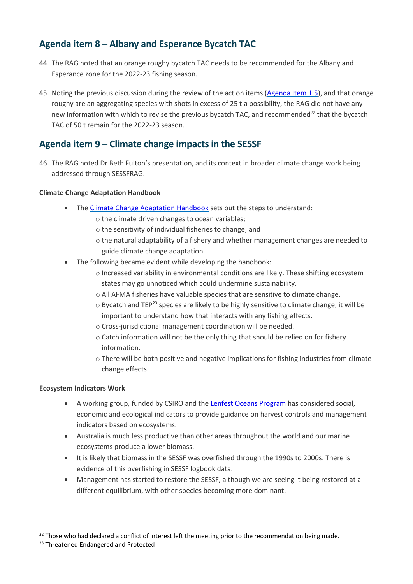### <span id="page-11-0"></span>**Agenda item 8 – Albany and Esperance Bycatch TAC**

- 44. The RAG noted that an orange roughy bycatch TAC needs to be recommended for the Albany and Esperance zone for the 2022-23 fishing season.
- 45. Noting the previous discussion during the review of the action items [\(Agenda Item 1.5\)](#page-4-0), and that orange roughy are an aggregating species with shots in excess of 25 t a possibility, the RAG did not have any new information with which to revise the previous bycatch TAC, and recommended<sup>22</sup> that the bycatch TAC of 50 t remain for the 2022-23 season.

### <span id="page-11-1"></span>**Agenda item 9 – Climate change impacts in the SESSF**

46. The RAG noted Dr Beth Fulton's presentation, and its context in broader climate change work being addressed through SESSFRAG.

### **Climate Change Adaptation Handbook**

- The [Climate Change Adaptation Handbook](https://research.csiro.au/cor/home/climate-impacts-adaptation/climate-adaptation-handbook/) sets out the steps to understand:
	- o the climate driven changes to ocean variables;
	- o the sensitivity of individual fisheries to change; and
	- o the natural adaptability of a fishery and whether management changes are needed to guide climate change adaptation.
- The following became evident while developing the handbook:
	- o Increased variability in environmental conditions are likely. These shifting ecosystem states may go unnoticed which could undermine sustainability.
	- o All AFMA fisheries have valuable species that are sensitive to climate change.
	- o Bycatch and TEP<sup>23</sup> species are likely to be highly sensitive to climate change, it will be important to understand how that interacts with any fishing effects.
	- o Cross-jurisdictional management coordination will be needed.
	- o Catch information will not be the only thing that should be relied on for fishery information.
	- o There will be both positive and negative implications for fishing industries from climate change effects.

### **Ecosystem Indicators Work**

- A working group, funded by CSIRO and th[e Lenfest Oceans Program](https://www.lenfestocean.org/en) has considered social, economic and ecological indicators to provide guidance on harvest controls and management indicators based on ecosystems.
- Australia is much less productive than other areas throughout the world and our marine ecosystems produce a lower biomass.
- It is likely that biomass in the SESSF was overfished through the 1990s to 2000s. There is evidence of this overfishing in SESSF logbook data.
- Management has started to restore the SESSF, although we are seeing it being restored at a different equilibrium, with other species becoming more dominant.

 $^{22}$  Those who had declared a conflict of interest left the meeting prior to the recommendation being made.

<sup>&</sup>lt;sup>23</sup> Threatened Endangered and Protected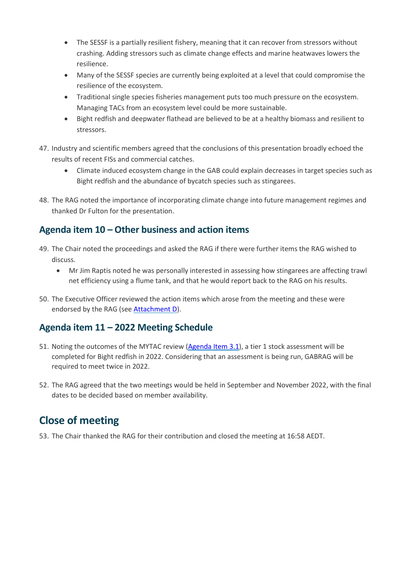- The SESSF is a partially resilient fishery, meaning that it can recover from stressors without crashing. Adding stressors such as climate change effects and marine heatwaves lowers the resilience.
- Many of the SESSF species are currently being exploited at a level that could compromise the resilience of the ecosystem.
- Traditional single species fisheries management puts too much pressure on the ecosystem. Managing TACs from an ecosystem level could be more sustainable.
- Bight redfish and deepwater flathead are believed to be at a healthy biomass and resilient to stressors.
- 47. Industry and scientific members agreed that the conclusions of this presentation broadly echoed the results of recent FISs and commercial catches.
	- Climate induced ecosystem change in the GAB could explain decreases in target species such as Bight redfish and the abundance of bycatch species such as stingarees.
- 48. The RAG noted the importance of incorporating climate change into future management regimes and thanked Dr Fulton for the presentation.

### <span id="page-12-0"></span>**Agenda item 10 – Other business and action items**

- 49. The Chair noted the proceedings and asked the RAG if there were further items the RAG wished to discuss.
	- Mr Jim Raptis noted he was personally interested in assessing how stingarees are affecting trawl net efficiency using a flume tank, and that he would report back to the RAG on his results.
- 50. The Executive Officer reviewed the action items which arose from the meeting and these were endorsed by the RAG (see [Attachment D\)](#page-23-0).

### <span id="page-12-1"></span>**Agenda item 11 – 2022 Meeting Schedule**

- 51. Noting the outcomes of the MYTAC review [\(Agenda Item 3.1\)](#page-7-1), a tier 1 stock assessment will be completed for Bight redfish in 2022. Considering that an assessment is being run, GABRAG will be required to meet twice in 2022.
- 52. The RAG agreed that the two meetings would be held in September and November 2022, with the final dates to be decided based on member availability.

## <span id="page-12-2"></span>**Close of meeting**

<span id="page-12-3"></span>53. The Chair thanked the RAG for their contribution and closed the meeting at 16:58 AEDT.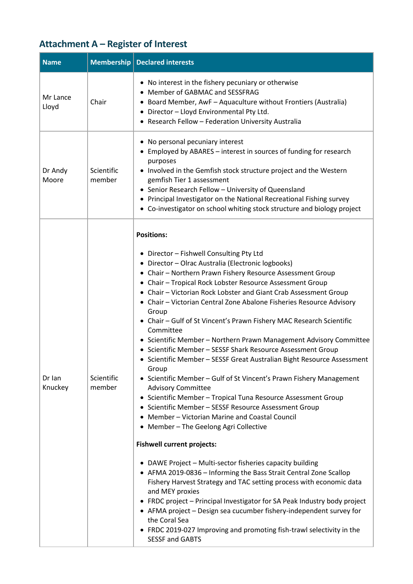# **Attachment A – Register of Interest**

| <b>Name</b>                                          |                      | <b>Membership   Declared interests</b>                                                                                                                                                                                                                                                                                                                                                                                                                                                                                                                                                                                                                                                                                                                                                                                                                                                                                                                                                                                                                                                                                                                                                                                                                                                                                                                                                                                                                                                                                                                                               |  |
|------------------------------------------------------|----------------------|--------------------------------------------------------------------------------------------------------------------------------------------------------------------------------------------------------------------------------------------------------------------------------------------------------------------------------------------------------------------------------------------------------------------------------------------------------------------------------------------------------------------------------------------------------------------------------------------------------------------------------------------------------------------------------------------------------------------------------------------------------------------------------------------------------------------------------------------------------------------------------------------------------------------------------------------------------------------------------------------------------------------------------------------------------------------------------------------------------------------------------------------------------------------------------------------------------------------------------------------------------------------------------------------------------------------------------------------------------------------------------------------------------------------------------------------------------------------------------------------------------------------------------------------------------------------------------------|--|
| Mr Lance<br>Lloyd                                    | Chair                | • No interest in the fishery pecuniary or otherwise<br>• Member of GABMAC and SESSFRAG<br>• Board Member, AwF - Aquaculture without Frontiers (Australia)<br>• Director - Lloyd Environmental Pty Ltd.<br>• Research Fellow - Federation University Australia                                                                                                                                                                                                                                                                                                                                                                                                                                                                                                                                                                                                                                                                                                                                                                                                                                                                                                                                                                                                                                                                                                                                                                                                                                                                                                                        |  |
| purposes<br>Scientific<br>Dr Andy<br>member<br>Moore |                      | • No personal pecuniary interest<br>• Employed by ABARES - interest in sources of funding for research<br>• Involved in the Gemfish stock structure project and the Western<br>gemfish Tier 1 assessment<br>• Senior Research Fellow - University of Queensland<br>• Principal Investigator on the National Recreational Fishing survey<br>• Co-investigator on school whiting stock structure and biology project                                                                                                                                                                                                                                                                                                                                                                                                                                                                                                                                                                                                                                                                                                                                                                                                                                                                                                                                                                                                                                                                                                                                                                   |  |
| Dr Ian<br>Knuckey                                    | Scientific<br>member | <b>Positions:</b><br>• Director - Fishwell Consulting Pty Ltd<br>• Director - Olrac Australia (Electronic logbooks)<br>• Chair - Northern Prawn Fishery Resource Assessment Group<br>• Chair - Tropical Rock Lobster Resource Assessment Group<br>• Chair - Victorian Rock Lobster and Giant Crab Assessment Group<br>• Chair - Victorian Central Zone Abalone Fisheries Resource Advisory<br>Group<br>• Chair - Gulf of St Vincent's Prawn Fishery MAC Research Scientific<br>Committee<br>• Scientific Member - Northern Prawn Management Advisory Committee<br>• Scientific Member - SESSF Shark Resource Assessment Group<br>• Scientific Member - SESSF Great Australian Bight Resource Assessment<br>Group<br>• Scientific Member - Gulf of St Vincent's Prawn Fishery Management<br><b>Advisory Committee</b><br>• Scientific Member - Tropical Tuna Resource Assessment Group<br>• Scientific Member - SESSF Resource Assessment Group<br>• Member - Victorian Marine and Coastal Council<br>• Member - The Geelong Agri Collective<br><b>Fishwell current projects:</b><br>• DAWE Project - Multi-sector fisheries capacity building<br>• AFMA 2019-0836 - Informing the Bass Strait Central Zone Scallop<br>Fishery Harvest Strategy and TAC setting process with economic data<br>and MEY proxies<br>• FRDC project - Principal Investigator for SA Peak Industry body project<br>• AFMA project - Design sea cucumber fishery-independent survey for<br>the Coral Sea<br>• FRDC 2019-027 Improving and promoting fish-trawl selectivity in the<br><b>SESSF and GABTS</b> |  |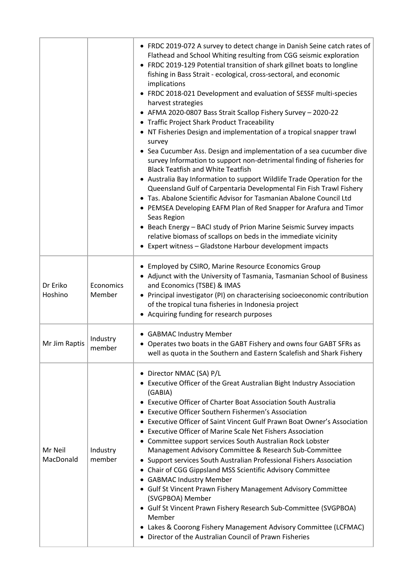|                      |                     | • FRDC 2019-072 A survey to detect change in Danish Seine catch rates of<br>Flathead and School Whiting resulting from CGG seismic exploration<br>• FRDC 2019-129 Potential transition of shark gillnet boats to longline<br>fishing in Bass Strait - ecological, cross-sectoral, and economic<br>implications<br>• FRDC 2018-021 Development and evaluation of SESSF multi-species<br>harvest strategies<br>• AFMA 2020-0807 Bass Strait Scallop Fishery Survey - 2020-22<br>• Traffic Project Shark Product Traceability<br>• NT Fisheries Design and implementation of a tropical snapper trawl<br>survey<br>• Sea Cucumber Ass. Design and implementation of a sea cucumber dive<br>survey Information to support non-detrimental finding of fisheries for<br><b>Black Teatfish and White Teatfish</b><br>• Australia Bay Information to support Wildlife Trade Operation for the<br>Queensland Gulf of Carpentaria Developmental Fin Fish Trawl Fishery<br>• Tas. Abalone Scientific Advisor for Tasmanian Abalone Council Ltd<br>• PEMSEA Developing EAFM Plan of Red Snapper for Arafura and Timor<br>Seas Region<br>• Beach Energy - BACI study of Prion Marine Seismic Survey impacts<br>relative biomass of scallops on beds in the immediate vicinity<br>• Expert witness - Gladstone Harbour development impacts |
|----------------------|---------------------|------------------------------------------------------------------------------------------------------------------------------------------------------------------------------------------------------------------------------------------------------------------------------------------------------------------------------------------------------------------------------------------------------------------------------------------------------------------------------------------------------------------------------------------------------------------------------------------------------------------------------------------------------------------------------------------------------------------------------------------------------------------------------------------------------------------------------------------------------------------------------------------------------------------------------------------------------------------------------------------------------------------------------------------------------------------------------------------------------------------------------------------------------------------------------------------------------------------------------------------------------------------------------------------------------------------------------|
| Dr Eriko<br>Hoshino  | Economics<br>Member | • Employed by CSIRO, Marine Resource Economics Group<br>• Adjunct with the University of Tasmania, Tasmanian School of Business<br>and Economics (TSBE) & IMAS<br>• Principal investigator (PI) on characterising socioeconomic contribution<br>of the tropical tuna fisheries in Indonesia project<br>• Acquiring funding for research purposes                                                                                                                                                                                                                                                                                                                                                                                                                                                                                                                                                                                                                                                                                                                                                                                                                                                                                                                                                                             |
| Mr Jim Raptis        | Industry<br>member  | • GABMAC Industry Member<br>• Operates two boats in the GABT Fishery and owns four GABT SFRs as<br>well as quota in the Southern and Eastern Scalefish and Shark Fishery                                                                                                                                                                                                                                                                                                                                                                                                                                                                                                                                                                                                                                                                                                                                                                                                                                                                                                                                                                                                                                                                                                                                                     |
| Mr Neil<br>MacDonald | Industry<br>member  | • Director NMAC (SA) P/L<br>• Executive Officer of the Great Australian Bight Industry Association<br>(GABIA)<br>• Executive Officer of Charter Boat Association South Australia<br><b>Executive Officer Southern Fishermen's Association</b><br>٠<br>Executive Officer of Saint Vincent Gulf Prawn Boat Owner's Association<br><b>Executive Officer of Marine Scale Net Fishers Association</b><br>• Committee support services South Australian Rock Lobster<br>Management Advisory Committee & Research Sub-Committee<br>Support services South Australian Professional Fishers Association<br>٠<br>• Chair of CGG Gippsland MSS Scientific Advisory Committee<br>• GABMAC Industry Member<br>• Gulf St Vincent Prawn Fishery Management Advisory Committee<br>(SVGPBOA) Member<br>• Gulf St Vincent Prawn Fishery Research Sub-Committee (SVGPBOA)<br>Member<br>• Lakes & Coorong Fishery Management Advisory Committee (LCFMAC)<br>• Director of the Australian Council of Prawn Fisheries                                                                                                                                                                                                                                                                                                                              |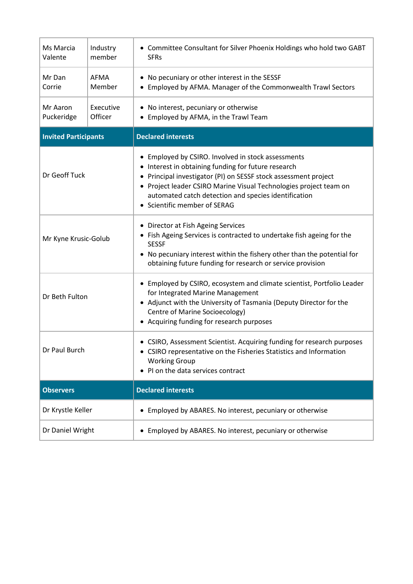| Ms Marcia<br>Valente               | Industry<br>member   | • Committee Consultant for Silver Phoenix Holdings who hold two GABT<br><b>SFRs</b>                                                                                                                                                                                                                                                       |  |
|------------------------------------|----------------------|-------------------------------------------------------------------------------------------------------------------------------------------------------------------------------------------------------------------------------------------------------------------------------------------------------------------------------------------|--|
| Mr Dan<br>AFMA<br>Corrie<br>Member |                      | • No pecuniary or other interest in the SESSF<br>• Employed by AFMA. Manager of the Commonwealth Trawl Sectors                                                                                                                                                                                                                            |  |
| Mr Aaron<br>Puckeridge             | Executive<br>Officer | • No interest, pecuniary or otherwise<br>• Employed by AFMA, in the Trawl Team                                                                                                                                                                                                                                                            |  |
| <b>Invited Participants</b>        |                      | <b>Declared interests</b>                                                                                                                                                                                                                                                                                                                 |  |
| Dr Geoff Tuck                      |                      | • Employed by CSIRO. Involved in stock assessments<br>• Interest in obtaining funding for future research<br>• Principal investigator (PI) on SESSF stock assessment project<br>• Project leader CSIRO Marine Visual Technologies project team on<br>automated catch detection and species identification<br>• Scientific member of SERAG |  |
| Mr Kyne Krusic-Golub               |                      | • Director at Fish Ageing Services<br>• Fish Ageing Services is contracted to undertake fish ageing for the<br><b>SESSF</b><br>• No pecuniary interest within the fishery other than the potential for<br>obtaining future funding for research or service provision                                                                      |  |
| Dr Beth Fulton                     |                      | • Employed by CSIRO, ecosystem and climate scientist, Portfolio Leader<br>for Integrated Marine Management<br>• Adjunct with the University of Tasmania (Deputy Director for the<br>Centre of Marine Socioecology)<br>• Acquiring funding for research purposes                                                                           |  |
| Dr Paul Burch                      |                      | • CSIRO, Assessment Scientist. Acquiring funding for research purposes<br>• CSIRO representative on the Fisheries Statistics and Information<br><b>Working Group</b><br>PI on the data services contract                                                                                                                                  |  |
| <b>Observers</b>                   |                      | <b>Declared interests</b>                                                                                                                                                                                                                                                                                                                 |  |
| Dr Krystle Keller                  |                      | Employed by ABARES. No interest, pecuniary or otherwise<br>$\bullet$                                                                                                                                                                                                                                                                      |  |
| Dr Daniel Wright                   |                      | • Employed by ABARES. No interest, pecuniary or otherwise                                                                                                                                                                                                                                                                                 |  |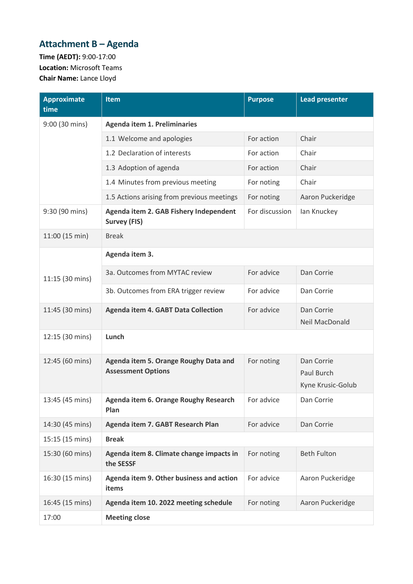# <span id="page-16-0"></span>**Attachment B – Agenda**

**Time (AEDT):** 9:00-17:00 **Location:** Microsoft Teams **Chair Name:** Lance Lloyd

| <b>Approximate</b><br>time | <b>Item</b>                                                        | <b>Purpose</b> | <b>Lead presenter</b>                         |  |  |
|----------------------------|--------------------------------------------------------------------|----------------|-----------------------------------------------|--|--|
| 9:00 (30 mins)             | <b>Agenda item 1. Preliminaries</b>                                |                |                                               |  |  |
|                            | 1.1 Welcome and apologies                                          | For action     | Chair                                         |  |  |
|                            | 1.2 Declaration of interests                                       | For action     | Chair                                         |  |  |
|                            | 1.3 Adoption of agenda                                             | For action     | Chair                                         |  |  |
|                            | 1.4 Minutes from previous meeting                                  | For noting     | Chair                                         |  |  |
|                            | 1.5 Actions arising from previous meetings                         | For noting     | Aaron Puckeridge                              |  |  |
| 9:30 (90 mins)             | Agenda item 2. GAB Fishery Independent<br><b>Survey (FIS)</b>      | For discussion | lan Knuckey                                   |  |  |
| 11:00 (15 min)             | <b>Break</b>                                                       |                |                                               |  |  |
|                            | Agenda item 3.                                                     |                |                                               |  |  |
| 11:15 (30 mins)            | 3a. Outcomes from MYTAC review                                     | For advice     | Dan Corrie                                    |  |  |
|                            | 3b. Outcomes from ERA trigger review                               | For advice     | Dan Corrie                                    |  |  |
| 11:45 (30 mins)            | <b>Agenda item 4. GABT Data Collection</b>                         | For advice     | Dan Corrie<br>Neil MacDonald                  |  |  |
| 12:15 (30 mins)            | Lunch                                                              |                |                                               |  |  |
| 12:45 (60 mins)            | Agenda item 5. Orange Roughy Data and<br><b>Assessment Options</b> | For noting     | Dan Corrie<br>Paul Burch<br>Kyne Krusic-Golub |  |  |
| 13:45 (45 mins)            | Agenda item 6. Orange Roughy Research<br>Plan                      | For advice     | Dan Corrie                                    |  |  |
| 14:30 (45 mins)            | Agenda item 7. GABT Research Plan                                  | For advice     | Dan Corrie                                    |  |  |
| 15:15 (15 mins)            | <b>Break</b>                                                       |                |                                               |  |  |
| 15:30 (60 mins)            | Agenda item 8. Climate change impacts in<br>the SESSF              |                | <b>Beth Fulton</b>                            |  |  |
| 16:30 (15 mins)            | Agenda item 9. Other business and action<br>items                  | For advice     | Aaron Puckeridge                              |  |  |
| 16:45 (15 mins)            | Agenda item 10. 2022 meeting schedule                              | For noting     | Aaron Puckeridge                              |  |  |
| 17:00                      | <b>Meeting close</b>                                               |                |                                               |  |  |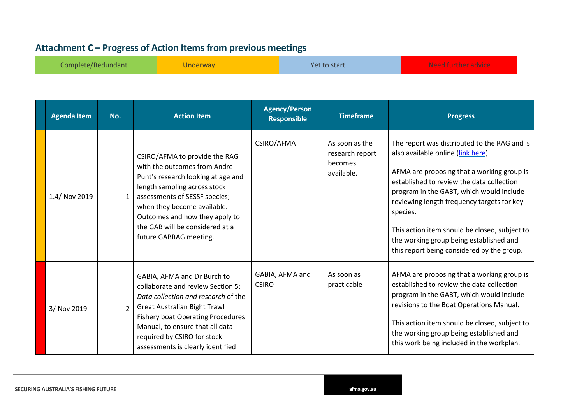## **Attachment C – Progress of Action Itemsfrom previous meetings**

| Complete/Redundant | Underwav | Yet to start | Algoed function on duizo<br>INEED TUITITEL JUVILET |
|--------------------|----------|--------------|----------------------------------------------------|
|--------------------|----------|--------------|----------------------------------------------------|

<span id="page-17-0"></span>

| <b>Agenda Item</b> | No.            | <b>Action Item</b>                                                                                                                                                                                                                                                                                 | <b>Agency/Person</b><br><b>Responsible</b> | <b>Timeframe</b>                                           | <b>Progress</b>                                                                                                                                                                                                                                                                                                                                                                                                               |
|--------------------|----------------|----------------------------------------------------------------------------------------------------------------------------------------------------------------------------------------------------------------------------------------------------------------------------------------------------|--------------------------------------------|------------------------------------------------------------|-------------------------------------------------------------------------------------------------------------------------------------------------------------------------------------------------------------------------------------------------------------------------------------------------------------------------------------------------------------------------------------------------------------------------------|
| 1.4/ Nov 2019      |                | CSIRO/AFMA to provide the RAG<br>with the outcomes from Andre<br>Punt's research looking at age and<br>length sampling across stock<br>assessments of SESSF species;<br>when they become available.<br>Outcomes and how they apply to<br>the GAB will be considered at a<br>future GABRAG meeting. | CSIRO/AFMA                                 | As soon as the<br>research report<br>becomes<br>available. | The report was distributed to the RAG and is<br>also available online (link here).<br>AFMA are proposing that a working group is<br>established to review the data collection<br>program in the GABT, which would include<br>reviewing length frequency targets for key<br>species.<br>This action item should be closed, subject to<br>the working group being established and<br>this report being considered by the group. |
| 3/ Nov 2019        | 2 <sup>1</sup> | GABIA, AFMA and Dr Burch to<br>collaborate and review Section 5:<br>Data collection and research of the<br><b>Great Australian Bight Trawl</b><br><b>Fishery boat Operating Procedures</b><br>Manual, to ensure that all data<br>required by CSIRO for stock<br>assessments is clearly identified  | GABIA, AFMA and<br><b>CSIRO</b>            | As soon as<br>practicable                                  | AFMA are proposing that a working group is<br>established to review the data collection<br>program in the GABT, which would include<br>revisions to the Boat Operations Manual.<br>This action item should be closed, subject to<br>the working group being established and<br>this work being included in the workplan.                                                                                                      |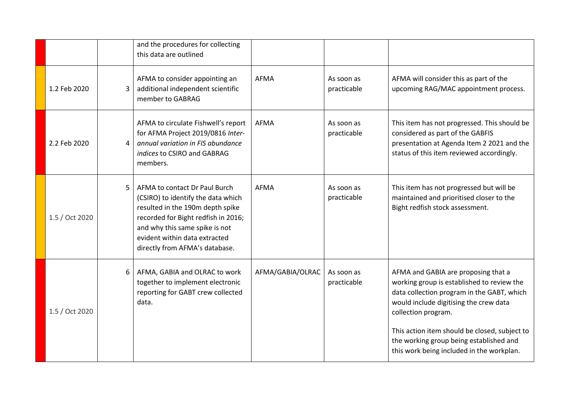|                |   | and the procedures for collecting<br>this data are outlined                                                                                                                                                                                         |                  |                           |                                                                                                                                                                                                                                                                                                                                           |
|----------------|---|-----------------------------------------------------------------------------------------------------------------------------------------------------------------------------------------------------------------------------------------------------|------------------|---------------------------|-------------------------------------------------------------------------------------------------------------------------------------------------------------------------------------------------------------------------------------------------------------------------------------------------------------------------------------------|
| 1.2 Feb 2020   | 3 | AFMA to consider appointing an<br>additional independent scientific<br>member to GABRAG                                                                                                                                                             | <b>AFMA</b>      | As soon as<br>practicable | AFMA will consider this as part of the<br>upcoming RAG/MAC appointment process.                                                                                                                                                                                                                                                           |
| 2.2 Feb 2020   | 4 | AFMA to circulate Fishwell's report<br>for AFMA Project 2019/0816 Inter-<br>annual variation in FIS abundance<br>indices to CSIRO and GABRAG<br>members.                                                                                            | <b>AFMA</b>      | As soon as<br>practicable | This item has not progressed. This should be<br>considered as part of the GABFIS<br>presentation at Agenda Item 2 2021 and the<br>status of this item reviewed accordingly.                                                                                                                                                               |
| 1.5 / Oct 2020 | 5 | AFMA to contact Dr Paul Burch<br>(CSIRO) to identify the data which<br>resulted in the 190m depth spike<br>recorded for Bight redfish in 2016;<br>and why this same spike is not<br>evident within data extracted<br>directly from AFMA's database. | <b>AFMA</b>      | As soon as<br>practicable | This item has not progressed but will be<br>maintained and prioritised closer to the<br>Bight redfish stock assessment.                                                                                                                                                                                                                   |
| 1.5 / Oct 2020 |   | AFMA, GABIA and OLRAC to work<br>together to implement electronic<br>reporting for GABT crew collected<br>data.                                                                                                                                     | AFMA/GABIA/OLRAC | As soon as<br>practicable | AFMA and GABIA are proposing that a<br>working group is established to review the<br>data collection program in the GABT, which<br>would include digitising the crew data<br>collection program.<br>This action item should be closed, subject to<br>the working group being established and<br>this work being included in the workplan. |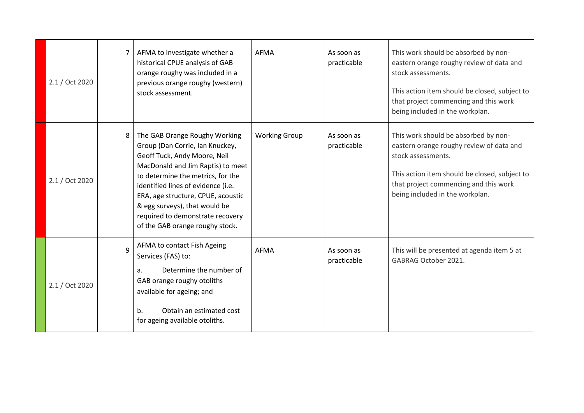| 2.1 / Oct 2020 |   | AFMA to investigate whether a<br>historical CPUE analysis of GAB<br>orange roughy was included in a<br>previous orange roughy (western)<br>stock assessment.                                                                                                                                                                                                   | AFMA                 | As soon as<br>practicable | This work should be absorbed by non-<br>eastern orange roughy review of data and<br>stock assessments.<br>This action item should be closed, subject to<br>that project commencing and this work<br>being included in the workplan. |
|----------------|---|----------------------------------------------------------------------------------------------------------------------------------------------------------------------------------------------------------------------------------------------------------------------------------------------------------------------------------------------------------------|----------------------|---------------------------|-------------------------------------------------------------------------------------------------------------------------------------------------------------------------------------------------------------------------------------|
| 2.1 / Oct 2020 | 8 | The GAB Orange Roughy Working<br>Group (Dan Corrie, Ian Knuckey,<br>Geoff Tuck, Andy Moore, Neil<br>MacDonald and Jim Raptis) to meet<br>to determine the metrics, for the<br>identified lines of evidence (i.e.<br>ERA, age structure, CPUE, acoustic<br>& egg surveys), that would be<br>required to demonstrate recovery<br>of the GAB orange roughy stock. | <b>Working Group</b> | As soon as<br>practicable | This work should be absorbed by non-<br>eastern orange roughy review of data and<br>stock assessments.<br>This action item should be closed, subject to<br>that project commencing and this work<br>being included in the workplan. |
| 2.1 / Oct 2020 | 9 | AFMA to contact Fish Ageing<br>Services (FAS) to:<br>Determine the number of<br>a.<br>GAB orange roughy otoliths<br>available for ageing; and<br>Obtain an estimated cost<br>b.<br>for ageing available otoliths.                                                                                                                                              | <b>AFMA</b>          | As soon as<br>practicable | This will be presented at agenda item 5 at<br>GABRAG October 2021.                                                                                                                                                                  |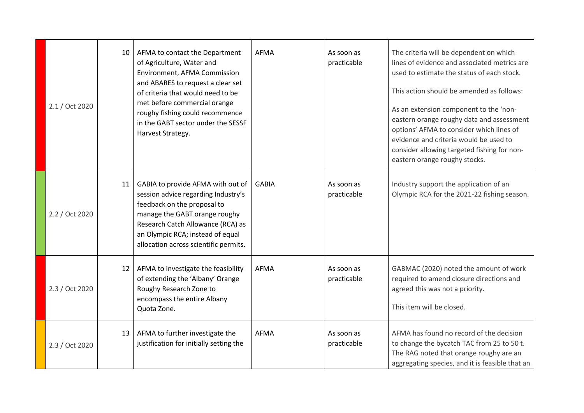| 2.1 / Oct 2020 | 10              | AFMA to contact the Department<br>of Agriculture, Water and<br>Environment, AFMA Commission<br>and ABARES to request a clear set<br>of criteria that would need to be<br>met before commercial orange<br>roughy fishing could recommence<br>in the GABT sector under the SESSF<br>Harvest Strategy. | <b>AFMA</b>  | As soon as<br>practicable | The criteria will be dependent on which<br>lines of evidence and associated metrics are<br>used to estimate the status of each stock.<br>This action should be amended as follows:<br>As an extension component to the 'non-<br>eastern orange roughy data and assessment<br>options' AFMA to consider which lines of<br>evidence and criteria would be used to<br>consider allowing targeted fishing for non-<br>eastern orange roughy stocks. |
|----------------|-----------------|-----------------------------------------------------------------------------------------------------------------------------------------------------------------------------------------------------------------------------------------------------------------------------------------------------|--------------|---------------------------|-------------------------------------------------------------------------------------------------------------------------------------------------------------------------------------------------------------------------------------------------------------------------------------------------------------------------------------------------------------------------------------------------------------------------------------------------|
| 2.2 / Oct 2020 | 11              | GABIA to provide AFMA with out of<br>session advice regarding Industry's<br>feedback on the proposal to<br>manage the GABT orange roughy<br>Research Catch Allowance (RCA) as<br>an Olympic RCA; instead of equal<br>allocation across scientific permits.                                          | <b>GABIA</b> | As soon as<br>practicable | Industry support the application of an<br>Olympic RCA for the 2021-22 fishing season.                                                                                                                                                                                                                                                                                                                                                           |
| 2.3 / Oct 2020 | 12 <sup>2</sup> | AFMA to investigate the feasibility<br>of extending the 'Albany' Orange<br>Roughy Research Zone to<br>encompass the entire Albany<br>Quota Zone.                                                                                                                                                    | AFMA         | As soon as<br>practicable | GABMAC (2020) noted the amount of work<br>required to amend closure directions and<br>agreed this was not a priority.<br>This item will be closed.                                                                                                                                                                                                                                                                                              |
| 2.3 / Oct 2020 | 13              | AFMA to further investigate the<br>justification for initially setting the                                                                                                                                                                                                                          | <b>AFMA</b>  | As soon as<br>practicable | AFMA has found no record of the decision<br>to change the bycatch TAC from 25 to 50 t.<br>The RAG noted that orange roughy are an<br>aggregating species, and it is feasible that an                                                                                                                                                                                                                                                            |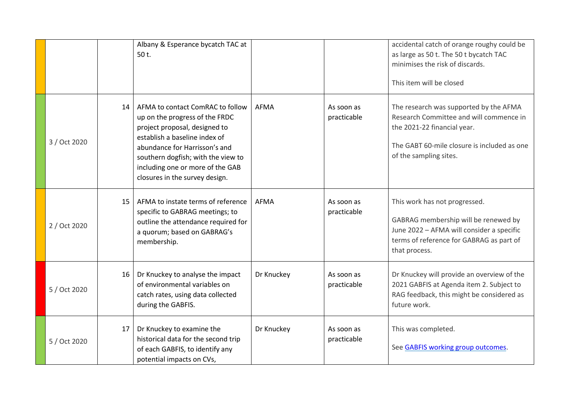|              |                 | Albany & Esperance bycatch TAC at<br>50 t.                                                                                                                                                                                                                                        |             |                           | accidental catch of orange roughy could be<br>as large as 50 t. The 50 t bycatch TAC<br>minimises the risk of discards.<br>This item will be closed                                       |
|--------------|-----------------|-----------------------------------------------------------------------------------------------------------------------------------------------------------------------------------------------------------------------------------------------------------------------------------|-------------|---------------------------|-------------------------------------------------------------------------------------------------------------------------------------------------------------------------------------------|
| 3 / Oct 2020 | 14              | AFMA to contact ComRAC to follow<br>up on the progress of the FRDC<br>project proposal, designed to<br>establish a baseline index of<br>abundance for Harrisson's and<br>southern dogfish; with the view to<br>including one or more of the GAB<br>closures in the survey design. | <b>AFMA</b> | As soon as<br>practicable | The research was supported by the AFMA<br>Research Committee and will commence in<br>the 2021-22 financial year.<br>The GABT 60-mile closure is included as one<br>of the sampling sites. |
| 2 / Oct 2020 | 15              | AFMA to instate terms of reference<br>specific to GABRAG meetings; to<br>outline the attendance required for<br>a quorum; based on GABRAG's<br>membership.                                                                                                                        | AFMA        | As soon as<br>practicable | This work has not progressed.<br>GABRAG membership will be renewed by<br>June 2022 - AFMA will consider a specific<br>terms of reference for GABRAG as part of<br>that process.           |
| 5 / Oct 2020 | 16 <sup>1</sup> | Dr Knuckey to analyse the impact<br>of environmental variables on<br>catch rates, using data collected<br>during the GABFIS.                                                                                                                                                      | Dr Knuckey  | As soon as<br>practicable | Dr Knuckey will provide an overview of the<br>2021 GABFIS at Agenda item 2. Subject to<br>RAG feedback, this might be considered as<br>future work.                                       |
| 5 / Oct 2020 | 17              | Dr Knuckey to examine the<br>historical data for the second trip<br>of each GABFIS, to identify any<br>potential impacts on CVs,                                                                                                                                                  | Dr Knuckey  | As soon as<br>practicable | This was completed.<br>See GABFIS working group outcomes.                                                                                                                                 |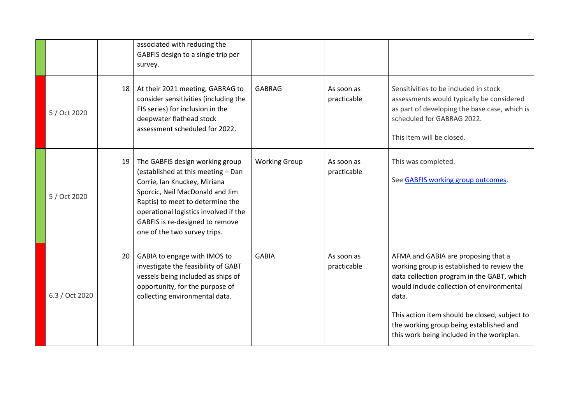|                |    | associated with reducing the<br>GABFIS design to a single trip per<br>survey.                                                                                                                                                                                                            |                      |                           |                                                                                                                                                                                                                                                                                                                                |
|----------------|----|------------------------------------------------------------------------------------------------------------------------------------------------------------------------------------------------------------------------------------------------------------------------------------------|----------------------|---------------------------|--------------------------------------------------------------------------------------------------------------------------------------------------------------------------------------------------------------------------------------------------------------------------------------------------------------------------------|
| 5 / Oct 2020   | 18 | At their 2021 meeting, GABRAG to<br>consider sensitivities (including the<br>FIS series) for inclusion in the<br>deepwater flathead stock<br>assessment scheduled for 2022.                                                                                                              | <b>GABRAG</b>        | As soon as<br>practicable | Sensitivities to be included in stock<br>assessments would typically be considered<br>as part of developing the base case, which is<br>scheduled for GABRAG 2022.<br>This item will be closed.                                                                                                                                 |
| 5 / Oct 2020   | 19 | The GABFIS design working group<br>(established at this meeting - Dan<br>Corrie, Ian Knuckey, Miriana<br>Sporcic, Neil MacDonald and Jim<br>Raptis) to meet to determine the<br>operational logistics involved if the<br>GABFIS is re-designed to remove<br>one of the two survey trips. | <b>Working Group</b> | As soon as<br>practicable | This was completed.<br>See GABFIS working group outcomes.                                                                                                                                                                                                                                                                      |
| 6.3 / Oct 2020 | 20 | GABIA to engage with IMOS to<br>investigate the feasibility of GABT<br>vessels being included as ships of<br>opportunity, for the purpose of<br>collecting environmental data.                                                                                                           | <b>GABIA</b>         | As soon as<br>practicable | AFMA and GABIA are proposing that a<br>working group is established to review the<br>data collection program in the GABT, which<br>would include collection of environmental<br>data.<br>This action item should be closed, subject to<br>the working group being established and<br>this work being included in the workplan. |